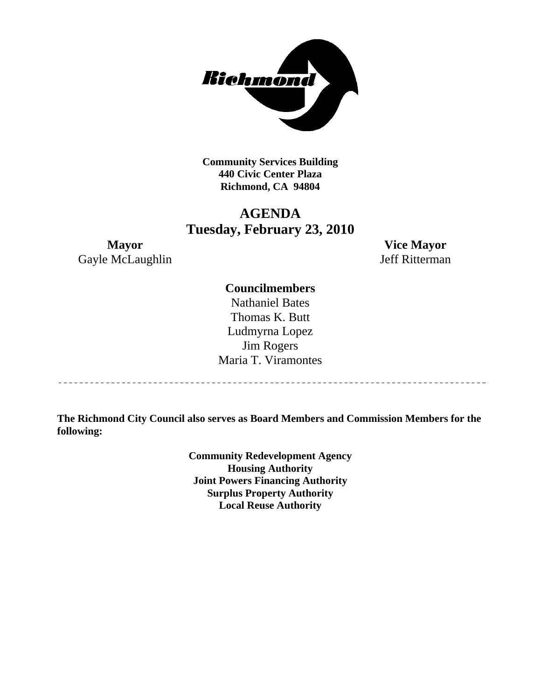

 **Community Services Building 440 Civic Center Plaza Richmond, CA 94804** 

# **AGENDA Tuesday, February 23, 2010**

**Mayor Vice Mayor**  Gayle McLaughlin Jeff Ritterman

# **Councilmembers**

Nathaniel Bates Thomas K. Butt Ludmyrna Lopez Jim Rogers Maria T. Viramontes

**The Richmond City Council also serves as Board Members and Commission Members for the following:** 

> **Community Redevelopment Agency Housing Authority Joint Powers Financing Authority Surplus Property Authority Local Reuse Authority**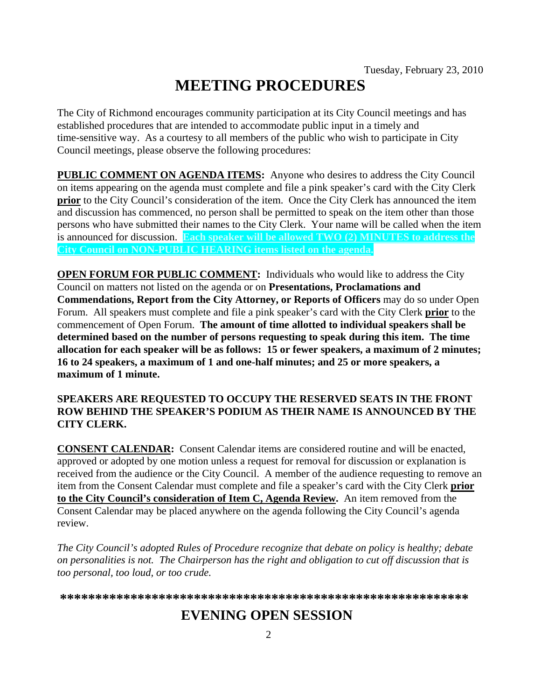# **MEETING PROCEDURES**

The City of Richmond encourages community participation at its City Council meetings and has established procedures that are intended to accommodate public input in a timely and time-sensitive way. As a courtesy to all members of the public who wish to participate in City Council meetings, please observe the following procedures:

**PUBLIC COMMENT ON AGENDA ITEMS:** Anyone who desires to address the City Council on items appearing on the agenda must complete and file a pink speaker's card with the City Clerk **prior** to the City Council's consideration of the item. Once the City Clerk has announced the item and discussion has commenced, no person shall be permitted to speak on the item other than those persons who have submitted their names to the City Clerk. Your name will be called when the item is announced for discussion. **Each speaker will be allowed TWO (2) MINUTES to address the City Council on NON-PUBLIC HEARING items listed on the agenda.** 

**OPEN FORUM FOR PUBLIC COMMENT:** Individuals who would like to address the City Council on matters not listed on the agenda or on **Presentations, Proclamations and Commendations, Report from the City Attorney, or Reports of Officers** may do so under Open Forum. All speakers must complete and file a pink speaker's card with the City Clerk **prior** to the commencement of Open Forum. **The amount of time allotted to individual speakers shall be determined based on the number of persons requesting to speak during this item. The time allocation for each speaker will be as follows: 15 or fewer speakers, a maximum of 2 minutes; 16 to 24 speakers, a maximum of 1 and one-half minutes; and 25 or more speakers, a maximum of 1 minute.** 

# **SPEAKERS ARE REQUESTED TO OCCUPY THE RESERVED SEATS IN THE FRONT ROW BEHIND THE SPEAKER'S PODIUM AS THEIR NAME IS ANNOUNCED BY THE CITY CLERK.**

**CONSENT CALENDAR:** Consent Calendar items are considered routine and will be enacted, approved or adopted by one motion unless a request for removal for discussion or explanation is received from the audience or the City Council. A member of the audience requesting to remove an item from the Consent Calendar must complete and file a speaker's card with the City Clerk **prior to the City Council's consideration of Item C, Agenda Review.** An item removed from the Consent Calendar may be placed anywhere on the agenda following the City Council's agenda review.

*The City Council's adopted Rules of Procedure recognize that debate on policy is healthy; debate on personalities is not. The Chairperson has the right and obligation to cut off discussion that is too personal, too loud, or too crude.* 

**\*\*\*\*\*\*\*\*\*\*\*\*\*\*\*\*\*\*\*\*\*\*\*\*\*\*\*\*\*\*\*\*\*\*\*\*\*\*\*\*\*\*\*\*\*\*\*\*\*\*\*\*\*\*\*\*\*\***

# **EVENING OPEN SESSION**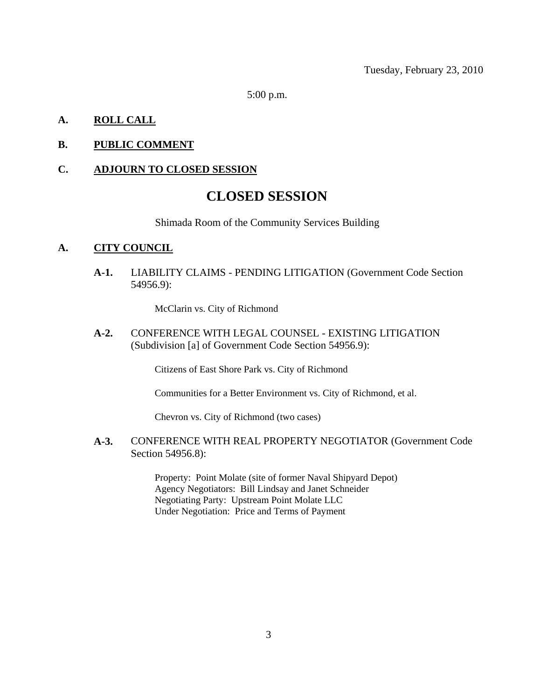Tuesday, February 23, 2010

5:00 p.m.

# **A. ROLL CALL**

# **B. PUBLIC COMMENT**

#### **C. ADJOURN TO CLOSED SESSION**

# **CLOSED SESSION**

Shimada Room of the Community Services Building

#### **A. CITY COUNCIL**

**A-1.** LIABILITY CLAIMS - PENDING LITIGATION (Government Code Section 54956.9):

McClarin vs. City of Richmond

**A-2.** CONFERENCE WITH LEGAL COUNSEL - EXISTING LITIGATION (Subdivision [a] of Government Code Section 54956.9):

Citizens of East Shore Park vs. City of Richmond

Communities for a Better Environment vs. City of Richmond, et al.

Chevron vs. City of Richmond (two cases)

**A-3.** CONFERENCE WITH REAL PROPERTY NEGOTIATOR (Government Code Section 54956.8):

> Property: Point Molate (site of former Naval Shipyard Depot) Agency Negotiators: Bill Lindsay and Janet Schneider Negotiating Party: Upstream Point Molate LLC Under Negotiation: Price and Terms of Payment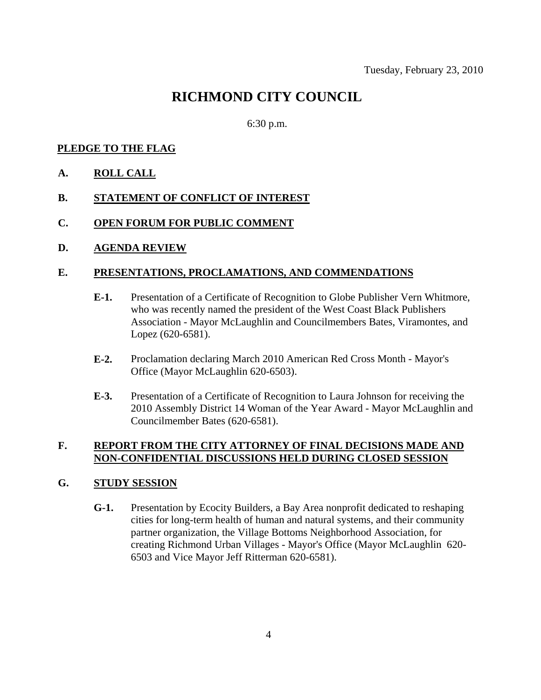# **RICHMOND CITY COUNCIL**

6:30 p.m.

# **PLEDGE TO THE FLAG**

**A. ROLL CALL**

# **B. STATEMENT OF CONFLICT OF INTEREST**

- **C. OPEN FORUM FOR PUBLIC COMMENT**
- **D. AGENDA REVIEW**

# **E. PRESENTATIONS, PROCLAMATIONS, AND COMMENDATIONS**

- **E-1.** Presentation of a Certificate of Recognition to Globe Publisher Vern Whitmore, who was recently named the president of the West Coast Black Publishers Association - Mayor McLaughlin and Councilmembers Bates, Viramontes, and Lopez (620-6581).
- **E-2.** Proclamation declaring March 2010 American Red Cross Month Mayor's Office (Mayor McLaughlin 620-6503).
- **E-3.** Presentation of a Certificate of Recognition to Laura Johnson for receiving the 2010 Assembly District 14 Woman of the Year Award - Mayor McLaughlin and Councilmember Bates (620-6581).

# **F. REPORT FROM THE CITY ATTORNEY OF FINAL DECISIONS MADE AND NON-CONFIDENTIAL DISCUSSIONS HELD DURING CLOSED SESSION**

# **G. STUDY SESSION**

**G-1.** Presentation by Ecocity Builders, a Bay Area nonprofit dedicated to reshaping cities for long-term health of human and natural systems, and their community partner organization, the Village Bottoms Neighborhood Association, for creating Richmond Urban Villages - Mayor's Office (Mayor McLaughlin 620- 6503 and Vice Mayor Jeff Ritterman 620-6581).